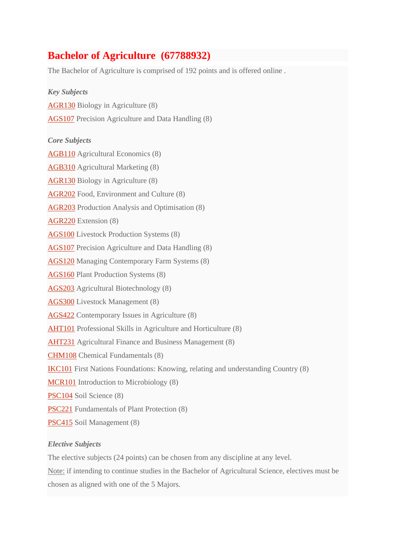# **Bachelor of Agriculture (67788932)**

The Bachelor of Agriculture is comprised of 192 points and is offered online .

*Key Subjects* [AGR130](http://www.csu.edu.au/handbook/handbook22/subjects/AGR130.html) Biology in Agriculture (8) [AGS107](http://www.csu.edu.au/handbook/handbook22/subjects/AGS107.html) Precision Agriculture and Data Handling (8) *Core Subjects* [AGB110](http://www.csu.edu.au/handbook/handbook22/subjects/AGB110.html) Agricultural Economics (8) [AGB310](http://www.csu.edu.au/handbook/handbook22/subjects/AGB310.html) Agricultural Marketing (8) [AGR130](http://www.csu.edu.au/handbook/handbook22/subjects/AGR130.html) Biology in Agriculture (8) [AGR202](http://www.csu.edu.au/handbook/handbook22/subjects/AGR202.html) Food, Environment and Culture (8) [AGR203](http://www.csu.edu.au/handbook/handbook22/subjects/AGR203.html) Production Analysis and Optimisation (8) [AGR220](http://www.csu.edu.au/handbook/handbook22/subjects/AGR220.html) Extension (8) [AGS100](http://www.csu.edu.au/handbook/handbook22/subjects/AGS100.html) Livestock Production Systems (8) [AGS107](http://www.csu.edu.au/handbook/handbook22/subjects/AGS107.html) Precision Agriculture and Data Handling (8) [AGS120](http://www.csu.edu.au/handbook/handbook22/subjects/AGS120.html) Managing Contemporary Farm Systems (8) [AGS160](http://www.csu.edu.au/handbook/handbook22/subjects/AGS160.html) Plant Production Systems (8) [AGS203](http://www.csu.edu.au/handbook/handbook22/subjects/AGS203.html) Agricultural Biotechnology (8) [AGS300](http://www.csu.edu.au/handbook/handbook22/subjects/AGS300.html) Livestock Management (8) [AGS422](http://www.csu.edu.au/handbook/handbook22/subjects/AGS422.html) Contemporary Issues in Agriculture (8) [AHT101](http://www.csu.edu.au/handbook/handbook22/subjects/AHT101.html) Professional Skills in Agriculture and Horticulture (8) [AHT231](http://www.csu.edu.au/handbook/handbook22/subjects/AHT231.html) Agricultural Finance and Business Management (8) [CHM108](http://www.csu.edu.au/handbook/handbook22/subjects/CHM108.html) Chemical Fundamentals (8) [IKC101](http://www.csu.edu.au/handbook/handbook22/subjects/IKC101.html) First Nations Foundations: Knowing, relating and understanding Country (8) [MCR101](http://www.csu.edu.au/handbook/handbook22/subjects/MCR101.html) Introduction to Microbiology (8) [PSC104](http://www.csu.edu.au/handbook/handbook22/subjects/PSC104.html) Soil Science (8) [PSC221](http://www.csu.edu.au/handbook/handbook22/subjects/PSC221.html) Fundamentals of Plant Protection (8) [PSC415](http://www.csu.edu.au/handbook/handbook22/subjects/PSC415.html) Soil Management (8) *Elective Subjects*

## The elective subjects (24 points) can be chosen from any discipline at any level.

Note: if intending to continue studies in the Bachelor of Agricultural Science, electives must be chosen as aligned with one of the 5 Majors.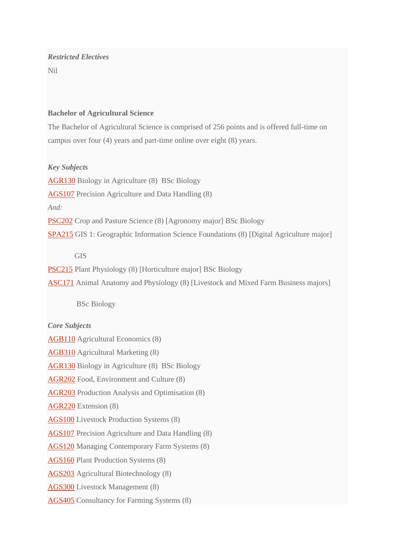## *Restricted Electives*

Nil

### **Bachelor of Agricultural Science**

The Bachelor of Agricultural Science is comprised of 256 points and is offered full-time on campus over four (4) years and part-time online over eight (8) years.

### *Key Subjects*

[AGR130](http://www.csu.edu.au/handbook/handbook22/subjects/AGR130.html) Biology in Agriculture (8) BSc Biology

[AGS107](http://www.csu.edu.au/handbook/handbook22/subjects/AGS107.html) Precision Agriculture and Data Handling (8)

*And:*

[PSC202](http://www.csu.edu.au/handbook/handbook22/subjects/PSC202.html) Crop and Pasture Science (8) [Agronomy major] BSc Biology

[SPA215](http://www.csu.edu.au/handbook/handbook22/subjects/SPA215.html) GIS 1: Geographic Information Science Foundations (8) [Digital Agriculture major]

## GIS

[PSC215](http://www.csu.edu.au/handbook/handbook22/subjects/PSC215.html) Plant Physiology (8) [Horticulture major] BSc Biology

[ASC171](http://www.csu.edu.au/handbook/handbook22/subjects/ASC171.html) Animal Anatomy and Physiology (8) [Livestock and Mixed Farm Business majors]

BSc Biology

#### *Core Subjects*

[AGB110](http://www.csu.edu.au/handbook/handbook22/subjects/AGB110.html) Agricultural Economics (8)

[AGB310](http://www.csu.edu.au/handbook/handbook22/subjects/AGB310.html) Agricultural Marketing (8)

[AGR130](http://www.csu.edu.au/handbook/handbook22/subjects/AGR130.html) Biology in Agriculture (8) BSc Biology

[AGR202](http://www.csu.edu.au/handbook/handbook22/subjects/AGR202.html) Food, Environment and Culture (8)

[AGR203](http://www.csu.edu.au/handbook/handbook22/subjects/AGR203.html) Production Analysis and Optimisation (8)

[AGR220](http://www.csu.edu.au/handbook/handbook22/subjects/AGR220.html) Extension (8)

[AGS100](http://www.csu.edu.au/handbook/handbook22/subjects/AGS100.html) Livestock Production Systems (8)

[AGS107](http://www.csu.edu.au/handbook/handbook22/subjects/AGS107.html) Precision Agriculture and Data Handling (8)

[AGS120](http://www.csu.edu.au/handbook/handbook22/subjects/AGS120.html) Managing Contemporary Farm Systems (8)

[AGS160](http://www.csu.edu.au/handbook/handbook22/subjects/AGS160.html) Plant Production Systems (8)

[AGS203](http://www.csu.edu.au/handbook/handbook22/subjects/AGS203.html) Agricultural Biotechnology (8)

[AGS300](http://www.csu.edu.au/handbook/handbook22/subjects/AGS300.html) Livestock Management (8)

[AGS405](http://www.csu.edu.au/handbook/handbook22/subjects/AGS405.html) Consultancy for Farming Systems (8)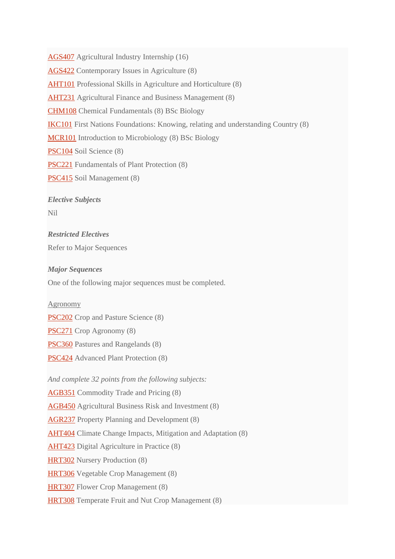[AGS407](http://www.csu.edu.au/handbook/handbook22/subjects/AGS407.html) Agricultural Industry Internship (16)

[AGS422](http://www.csu.edu.au/handbook/handbook22/subjects/AGS422.html) Contemporary Issues in Agriculture (8)

[AHT101](http://www.csu.edu.au/handbook/handbook22/subjects/AHT101.html) Professional Skills in Agriculture and Horticulture (8)

[AHT231](http://www.csu.edu.au/handbook/handbook22/subjects/AHT231.html) Agricultural Finance and Business Management (8)

[CHM108](http://www.csu.edu.au/handbook/handbook22/subjects/CHM108.html) Chemical Fundamentals (8) BSc Biology

[IKC101](http://www.csu.edu.au/handbook/handbook22/subjects/IKC101.html) First Nations Foundations: Knowing, relating and understanding Country (8)

[MCR101](http://www.csu.edu.au/handbook/handbook22/subjects/MCR101.html) Introduction to Microbiology (8) BSc Biology

[PSC104](http://www.csu.edu.au/handbook/handbook22/subjects/PSC104.html) Soil Science (8)

[PSC221](http://www.csu.edu.au/handbook/handbook22/subjects/PSC221.html) Fundamentals of Plant Protection (8)

[PSC415](http://www.csu.edu.au/handbook/handbook22/subjects/PSC415.html) Soil Management (8)

*Elective Subjects*

Nil

*Restricted Electives* Refer to Major Sequences

*Major Sequences*

One of the following major sequences must be completed.

Agronomy

[PSC202](http://www.csu.edu.au/handbook/handbook22/subjects/PSC202.html) Crop and Pasture Science (8)

[PSC271](http://www.csu.edu.au/handbook/handbook22/subjects/PSC271.html) Crop Agronomy (8)

[PSC360](http://www.csu.edu.au/handbook/handbook22/subjects/PSC360.html) Pastures and Rangelands (8)

[PSC424](http://www.csu.edu.au/handbook/handbook22/subjects/PSC424.html) Advanced Plant Protection (8)

*And complete 32 points from the following subjects:*

[AGB351](http://www.csu.edu.au/handbook/handbook22/subjects/AGB351.html) Commodity Trade and Pricing (8) [AGB450](http://www.csu.edu.au/handbook/handbook22/subjects/AGB450.html) Agricultural Business Risk and Investment (8) [AGR237](http://www.csu.edu.au/handbook/handbook22/subjects/AGR237.html) Property Planning and Development (8) [AHT404](http://www.csu.edu.au/handbook/handbook22/subjects/AHT404.html) Climate Change Impacts, Mitigation and Adaptation (8) [AHT423](http://www.csu.edu.au/handbook/handbook22/subjects/AHT423.html) Digital Agriculture in Practice (8) [HRT302](http://www.csu.edu.au/handbook/handbook22/subjects/HRT302.html) Nursery Production (8) [HRT306](http://www.csu.edu.au/handbook/handbook22/subjects/HRT306.html) Vegetable Crop Management (8) [HRT307](http://www.csu.edu.au/handbook/handbook22/subjects/HRT307.html) Flower Crop Management (8) [HRT308](http://www.csu.edu.au/handbook/handbook22/subjects/HRT308.html) Temperate Fruit and Nut Crop Management (8)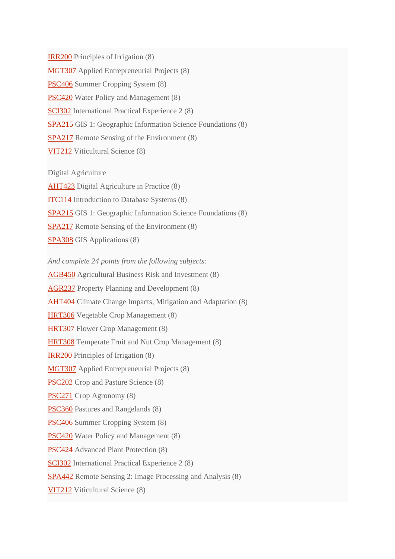[IRR200](http://www.csu.edu.au/handbook/handbook22/subjects/IRR200.html) Principles of Irrigation (8) [MGT307](http://www.csu.edu.au/handbook/handbook22/subjects/MGT307.html) Applied Entrepreneurial Projects (8) [PSC406](http://www.csu.edu.au/handbook/handbook22/subjects/PSC406.html) Summer Cropping System (8) [PSC420](http://www.csu.edu.au/handbook/handbook22/subjects/PSC420.html) Water Policy and Management (8) [SCI302](http://www.csu.edu.au/handbook/handbook22/subjects/SCI302.html) International Practical Experience 2 (8) [SPA215](http://www.csu.edu.au/handbook/handbook22/subjects/SPA215.html) GIS 1: Geographic Information Science Foundations (8) [SPA217](http://www.csu.edu.au/handbook/handbook22/subjects/SPA217.html) Remote Sensing of the Environment (8) [VIT212](http://www.csu.edu.au/handbook/handbook22/subjects/VIT212.html) Viticultural Science (8)

Digital Agriculture [AHT423](http://www.csu.edu.au/handbook/handbook22/subjects/AHT423.html) Digital Agriculture in Practice (8) [ITC114](http://www.csu.edu.au/handbook/handbook22/subjects/ITC114.html) Introduction to Database Systems (8) [SPA215](http://www.csu.edu.au/handbook/handbook22/subjects/SPA215.html) GIS 1: Geographic Information Science Foundations (8) [SPA217](http://www.csu.edu.au/handbook/handbook22/subjects/SPA217.html) Remote Sensing of the Environment (8) [SPA308](http://www.csu.edu.au/handbook/handbook22/subjects/SPA308.html) GIS Applications (8)

*And complete 24 points from the following subjects:* [AGB450](http://www.csu.edu.au/handbook/handbook22/subjects/AGB450.html) Agricultural Business Risk and Investment (8) [AGR237](http://www.csu.edu.au/handbook/handbook22/subjects/AGR237.html) Property Planning and Development (8) [AHT404](http://www.csu.edu.au/handbook/handbook22/subjects/AHT404.html) Climate Change Impacts, Mitigation and Adaptation (8) [HRT306](http://www.csu.edu.au/handbook/handbook22/subjects/HRT306.html) Vegetable Crop Management (8) [HRT307](http://www.csu.edu.au/handbook/handbook22/subjects/HRT307.html) Flower Crop Management (8) [HRT308](http://www.csu.edu.au/handbook/handbook22/subjects/HRT308.html) Temperate Fruit and Nut Crop Management (8) [IRR200](http://www.csu.edu.au/handbook/handbook22/subjects/IRR200.html) Principles of Irrigation (8) [MGT307](http://www.csu.edu.au/handbook/handbook22/subjects/MGT307.html) Applied Entrepreneurial Projects (8) PSC<sub>202</sub> Crop and Pasture Science (8) [PSC271](http://www.csu.edu.au/handbook/handbook22/subjects/PSC271.html) Crop Agronomy (8) [PSC360](http://www.csu.edu.au/handbook/handbook22/subjects/PSC360.html) Pastures and Rangelands (8) [PSC406](http://www.csu.edu.au/handbook/handbook22/subjects/PSC406.html) Summer Cropping System (8) [PSC420](http://www.csu.edu.au/handbook/handbook22/subjects/PSC420.html) Water Policy and Management (8) [PSC424](http://www.csu.edu.au/handbook/handbook22/subjects/PSC424.html) Advanced Plant Protection (8) [SCI302](http://www.csu.edu.au/handbook/handbook22/subjects/SCI302.html) International Practical Experience 2 (8)

[SPA442](http://www.csu.edu.au/handbook/handbook22/subjects/SPA442.html) Remote Sensing 2: Image Processing and Analysis (8)

[VIT212](http://www.csu.edu.au/handbook/handbook22/subjects/VIT212.html) Viticultural Science (8)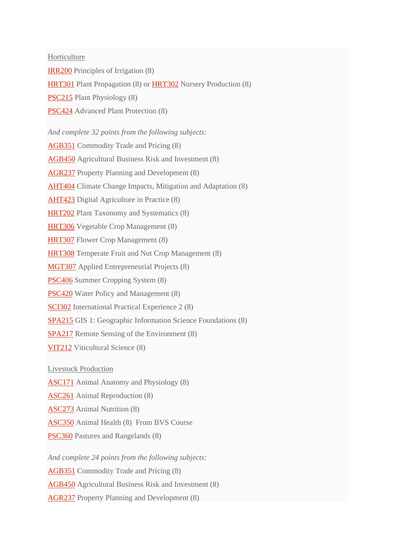Horticulture

[IRR200](http://www.csu.edu.au/handbook/handbook22/subjects/IRR200.html) Principles of Irrigation (8)

[HRT301](http://www.csu.edu.au/handbook/handbook22/subjects/HRT301.html) Plant Propagation (8) or [HRT302](http://www.csu.edu.au/handbook/handbook22/subjects/HRT302.html) Nursery Production (8)

[PSC215](http://www.csu.edu.au/handbook/handbook22/subjects/PSC215.html) Plant Physiology (8)

[PSC424](http://www.csu.edu.au/handbook/handbook22/subjects/PSC424.html) Advanced Plant Protection (8)

*And complete 32 points from the following subjects:*

[AGB351](http://www.csu.edu.au/handbook/handbook22/subjects/AGB351.html) Commodity Trade and Pricing (8)

[AGB450](http://www.csu.edu.au/handbook/handbook22/subjects/AGB450.html) Agricultural Business Risk and Investment (8)

[AGR237](http://www.csu.edu.au/handbook/handbook22/subjects/AGR237.html) Property Planning and Development (8)

[AHT404](http://www.csu.edu.au/handbook/handbook22/subjects/AHT404.html) Climate Change Impacts, Mitigation and Adaptation (8)

[AHT423](http://www.csu.edu.au/handbook/handbook22/subjects/AHT423.html) Digital Agriculture in Practice (8)

[HRT202](http://www.csu.edu.au/handbook/handbook22/subjects/HRT202.html) Plant Taxonomy and Systematics (8)

[HRT306](http://www.csu.edu.au/handbook/handbook22/subjects/HRT306.html) Vegetable Crop Management (8)

[HRT307](http://www.csu.edu.au/handbook/handbook22/subjects/HRT307.html) Flower Crop Management (8)

[HRT308](http://www.csu.edu.au/handbook/handbook22/subjects/HRT308.html) Temperate Fruit and Nut Crop Management (8)

[MGT307](http://www.csu.edu.au/handbook/handbook22/subjects/MGT307.html) Applied Entrepreneurial Projects (8)

[PSC406](http://www.csu.edu.au/handbook/handbook22/subjects/PSC406.html) Summer Cropping System (8)

[PSC420](http://www.csu.edu.au/handbook/handbook22/subjects/PSC420.html) Water Policy and Management (8)

[SCI302](http://www.csu.edu.au/handbook/handbook22/subjects/SCI302.html) International Practical Experience 2 (8)

[SPA215](http://www.csu.edu.au/handbook/handbook22/subjects/SPA215.html) GIS 1: Geographic Information Science Foundations (8)

[SPA217](http://www.csu.edu.au/handbook/handbook22/subjects/SPA217.html) Remote Sensing of the Environment (8)

[VIT212](http://www.csu.edu.au/handbook/handbook22/subjects/VIT212.html) Viticultural Science (8)

Livestock Production

[ASC171](http://www.csu.edu.au/handbook/handbook22/subjects/ASC171.html) Animal Anatomy and Physiology (8)

[ASC261](http://www.csu.edu.au/handbook/handbook22/subjects/ASC261.html) Animal Reproduction (8)

[ASC273](http://www.csu.edu.au/handbook/handbook22/subjects/ASC273.html) Animal Nutrition (8)

[ASC350](http://www.csu.edu.au/handbook/handbook22/subjects/ASC350.html) Animal Health (8) From BVS Course

[PSC360](http://www.csu.edu.au/handbook/handbook22/subjects/PSC360.html) Pastures and Rangelands (8)

*And complete 24 points from the following subjects:*

[AGB351](http://www.csu.edu.au/handbook/handbook22/subjects/AGB351.html) Commodity Trade and Pricing (8)

[AGB450](http://www.csu.edu.au/handbook/handbook22/subjects/AGB450.html) Agricultural Business Risk and Investment (8)

[AGR237](http://www.csu.edu.au/handbook/handbook22/subjects/AGR237.html) Property Planning and Development (8)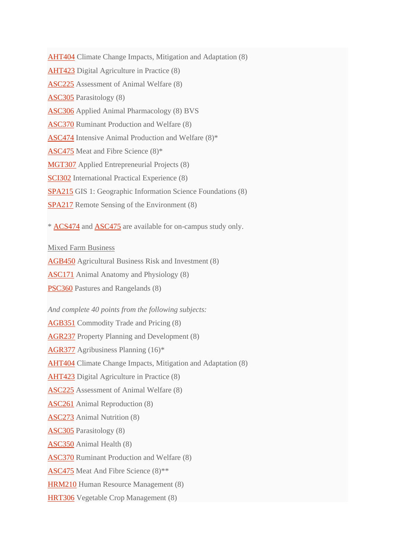[AHT404](http://www.csu.edu.au/handbook/handbook22/subjects/AHT404.html) Climate Change Impacts, Mitigation and Adaptation (8) [AHT423](http://www.csu.edu.au/handbook/handbook22/subjects/AHT423.html) Digital Agriculture in Practice (8) [ASC225](http://www.csu.edu.au/handbook/handbook22/subjects/ASC225.html) Assessment of Animal Welfare (8) [ASC305](http://www.csu.edu.au/handbook/handbook22/subjects/ASC305.html) Parasitology (8) [ASC306](http://www.csu.edu.au/handbook/handbook22/subjects/ASC306.html) Applied Animal Pharmacology (8) BVS [ASC370](http://www.csu.edu.au/handbook/handbook22/subjects/ASC370.html) Ruminant Production and Welfare (8) [ASC474](http://www.csu.edu.au/handbook/handbook22/subjects/ASC474.html) Intensive Animal Production and Welfare (8)\* [ASC475](http://www.csu.edu.au/handbook/handbook22/subjects/ASC475.html) Meat and Fibre Science (8)\* [MGT307](http://www.csu.edu.au/handbook/handbook22/subjects/MGT307.html) Applied Entrepreneurial Projects (8) [SCI302](http://www.csu.edu.au/handbook/handbook22/subjects/SCI302.html) International Practical Experience (8) [SPA215](http://www.csu.edu.au/handbook/handbook22/subjects/SPA215.html) GIS 1: Geographic Information Science Foundations (8) [SPA217](http://www.csu.edu.au/handbook/handbook22/subjects/SPA217.html) Remote Sensing of the Environment (8)

\* [ACS474](http://www.csu.edu.au/handbook/handbook22/subjects/ACS474.html) and [ASC475](http://www.csu.edu.au/handbook/handbook22/subjects/ASC475.html) are available for on-campus study only.

Mixed Farm Business

[AGB450](http://www.csu.edu.au/handbook/handbook22/subjects/AGB450.html) Agricultural Business Risk and Investment (8)

[ASC171](http://www.csu.edu.au/handbook/handbook22/subjects/ASC171.html) Animal Anatomy and Physiology (8)

[PSC360](http://www.csu.edu.au/handbook/handbook22/subjects/PSC360.html) Pastures and Rangelands (8)

*And complete 40 points from the following subjects:*

[AGB351](http://www.csu.edu.au/handbook/handbook22/subjects/AGB351.html) Commodity Trade and Pricing (8)

[AGR237](http://www.csu.edu.au/handbook/handbook22/subjects/AGR237.html) Property Planning and Development (8)

[AGR377](http://www.csu.edu.au/handbook/handbook22/subjects/AGR377.html) Agribusiness Planning (16)\*

[AHT404](http://www.csu.edu.au/handbook/handbook22/subjects/AHT404.html) Climate Change Impacts, Mitigation and Adaptation (8)

[AHT423](http://www.csu.edu.au/handbook/handbook22/subjects/AHT423.html) Digital Agriculture in Practice (8)

[ASC225](http://www.csu.edu.au/handbook/handbook22/subjects/ASC225.html) Assessment of Animal Welfare (8)

[ASC261](http://www.csu.edu.au/handbook/handbook22/subjects/ASC261.html) Animal Reproduction (8)

[ASC273](http://www.csu.edu.au/handbook/handbook22/subjects/ASC273.html) Animal Nutrition (8)

[ASC305](http://www.csu.edu.au/handbook/handbook22/subjects/ASC305.html) Parasitology (8)

[ASC350](http://www.csu.edu.au/handbook/handbook22/subjects/ASC350.html) Animal Health (8)

[ASC370](http://www.csu.edu.au/handbook/handbook22/subjects/ASC370.html) Ruminant Production and Welfare (8)

[ASC475](http://www.csu.edu.au/handbook/handbook22/subjects/ASC475.html) Meat And Fibre Science (8)\*\*

[HRM210](http://www.csu.edu.au/handbook/handbook22/subjects/HRM210.html) Human Resource Management (8)

[HRT306](http://www.csu.edu.au/handbook/handbook22/subjects/HRT306.html) Vegetable Crop Management (8)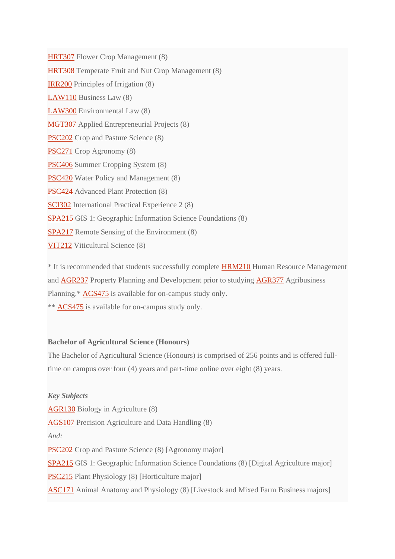[HRT307](http://www.csu.edu.au/handbook/handbook22/subjects/HRT307.html) Flower Crop Management (8) [HRT308](http://www.csu.edu.au/handbook/handbook22/subjects/HRT308.html) Temperate Fruit and Nut Crop Management (8) [IRR200](http://www.csu.edu.au/handbook/handbook22/subjects/IRR200.html) Principles of Irrigation (8) [LAW110](http://www.csu.edu.au/handbook/handbook22/subjects/LAW110.html) Business Law (8) [LAW300](http://www.csu.edu.au/handbook/handbook22/subjects/LAW300.html) Environmental Law (8) [MGT307](http://www.csu.edu.au/handbook/handbook22/subjects/MGT307.html) Applied Entrepreneurial Projects (8) PSC<sub>202</sub> Crop and Pasture Science (8) [PSC271](http://www.csu.edu.au/handbook/handbook22/subjects/PSC271.html) Crop Agronomy (8) [PSC406](http://www.csu.edu.au/handbook/handbook22/subjects/PSC406.html) Summer Cropping System (8) [PSC420](http://www.csu.edu.au/handbook/handbook22/subjects/PSC420.html) Water Policy and Management (8) [PSC424](http://www.csu.edu.au/handbook/handbook22/subjects/PSC424.html) Advanced Plant Protection (8) [SCI302](http://www.csu.edu.au/handbook/handbook22/subjects/SCI302.html) International Practical Experience 2 (8) [SPA215](http://www.csu.edu.au/handbook/handbook22/subjects/SPA215.html) GIS 1: Geographic Information Science Foundations (8) [SPA217](http://www.csu.edu.au/handbook/handbook22/subjects/SPA217.html) Remote Sensing of the Environment (8) [VIT212](http://www.csu.edu.au/handbook/handbook22/subjects/VIT212.html) Viticultural Science (8)

\* It is recommended that students successfully complete [HRM210](http://www.csu.edu.au/handbook/handbook22/subjects/HRM210.html) Human Resource Management and [AGR237](http://www.csu.edu.au/handbook/handbook22/subjects/AGR237.html) Property Planning and Development prior to studying [AGR377](http://www.csu.edu.au/handbook/handbook22/subjects/AGR377.html) Agribusiness Planning.\*  $ACS475$  is available for on-campus study only. \*\* [ACS475](http://www.csu.edu.au/handbook/handbook22/subjects/ACS475.html) is available for on-campus study only.

#### **Bachelor of Agricultural Science (Honours)**

The Bachelor of Agricultural Science (Honours) is comprised of 256 points and is offered fulltime on campus over four (4) years and part-time online over eight (8) years.

*Key Subjects* [AGR130](http://www.csu.edu.au/handbook/handbook22/subjects/AGR130.html) Biology in Agriculture (8) [AGS107](http://www.csu.edu.au/handbook/handbook22/subjects/AGS107.html) Precision Agriculture and Data Handling (8) *And:* [PSC202](http://www.csu.edu.au/handbook/handbook22/subjects/PSC202.html) Crop and Pasture Science (8) [Agronomy major] [SPA215](http://www.csu.edu.au/handbook/handbook22/subjects/SPA215.html) GIS 1: Geographic Information Science Foundations (8) [Digital Agriculture major] [PSC215](http://www.csu.edu.au/handbook/handbook22/subjects/PSC215.html) Plant Physiology (8) [Horticulture major] [ASC171](http://www.csu.edu.au/handbook/handbook22/subjects/ASC171.html) Animal Anatomy and Physiology (8) [Livestock and Mixed Farm Business majors]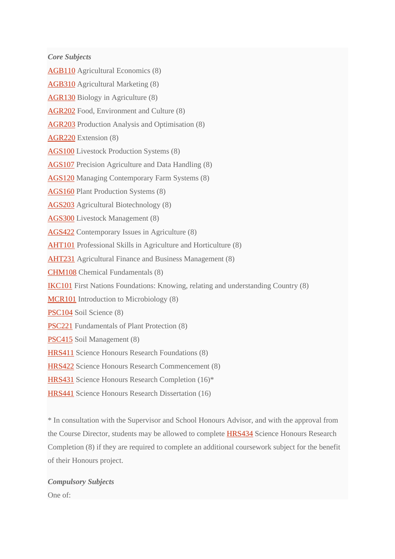*Core Subjects*

[AGB110](http://www.csu.edu.au/handbook/handbook22/subjects/AGB110.html) Agricultural Economics (8)

[AGB310](http://www.csu.edu.au/handbook/handbook22/subjects/AGB310.html) Agricultural Marketing (8)

[AGR130](http://www.csu.edu.au/handbook/handbook22/subjects/AGR130.html) Biology in Agriculture (8)

[AGR202](http://www.csu.edu.au/handbook/handbook22/subjects/AGR202.html) Food, Environment and Culture (8)

[AGR203](http://www.csu.edu.au/handbook/handbook22/subjects/AGR203.html) Production Analysis and Optimisation (8)

[AGR220](http://www.csu.edu.au/handbook/handbook22/subjects/AGR220.html) Extension (8)

[AGS100](http://www.csu.edu.au/handbook/handbook22/subjects/AGS100.html) Livestock Production Systems (8)

[AGS107](http://www.csu.edu.au/handbook/handbook22/subjects/AGS107.html) Precision Agriculture and Data Handling (8)

[AGS120](http://www.csu.edu.au/handbook/handbook22/subjects/AGS120.html) Managing Contemporary Farm Systems (8)

[AGS160](http://www.csu.edu.au/handbook/handbook22/subjects/AGS160.html) Plant Production Systems (8)

[AGS203](http://www.csu.edu.au/handbook/handbook22/subjects/AGS203.html) Agricultural Biotechnology (8)

[AGS300](http://www.csu.edu.au/handbook/handbook22/subjects/AGS300.html) Livestock Management (8)

[AGS422](http://www.csu.edu.au/handbook/handbook22/subjects/AGS422.html) Contemporary Issues in Agriculture (8)

[AHT101](http://www.csu.edu.au/handbook/handbook22/subjects/AHT101.html) Professional Skills in Agriculture and Horticulture (8)

[AHT231](http://www.csu.edu.au/handbook/handbook22/subjects/AHT231.html) Agricultural Finance and Business Management (8)

[CHM108](http://www.csu.edu.au/handbook/handbook22/subjects/CHM108.html) Chemical Fundamentals (8)

[IKC101](http://www.csu.edu.au/handbook/handbook22/subjects/IKC101.html) First Nations Foundations: Knowing, relating and understanding Country (8)

[MCR101](http://www.csu.edu.au/handbook/handbook22/subjects/MCR101.html) Introduction to Microbiology (8)

[PSC104](http://www.csu.edu.au/handbook/handbook22/subjects/PSC104.html) Soil Science (8)

[PSC221](http://www.csu.edu.au/handbook/handbook22/subjects/PSC221.html) Fundamentals of Plant Protection (8)

[PSC415](http://www.csu.edu.au/handbook/handbook22/subjects/PSC415.html) Soil Management (8)

[HRS411](http://www.csu.edu.au/handbook/handbook22/subjects/HRS411.html) Science Honours Research Foundations (8)

[HRS422](http://www.csu.edu.au/handbook/handbook22/subjects/HRS422.html) Science Honours Research Commencement (8)

[HRS431](http://www.csu.edu.au/handbook/handbook22/subjects/HRS431.html) Science Honours Research Completion (16)\*

[HRS441](http://www.csu.edu.au/handbook/handbook22/subjects/HRS441.html) Science Honours Research Dissertation (16)

\* In consultation with the Supervisor and School Honours Advisor, and with the approval from the Course Director, students may be allowed to complete [HRS434](http://www.csu.edu.au/handbook/handbook22/subjects/HRS434.html) Science Honours Research Completion (8) if they are required to complete an additional coursework subject for the benefit of their Honours project.

*Compulsory Subjects* One of: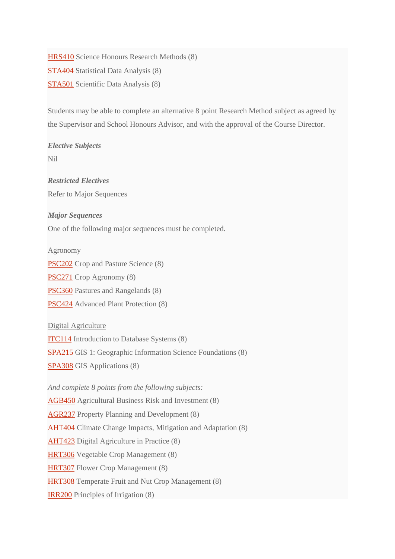[HRS410](http://www.csu.edu.au/handbook/handbook22/subjects/HRS410.html) Science Honours Research Methods (8) [STA404](http://www.csu.edu.au/handbook/handbook22/subjects/STA404.html) Statistical Data Analysis (8) [STA501](http://www.csu.edu.au/handbook/handbook22/subjects/STA501.html) Scientific Data Analysis (8)

Students may be able to complete an alternative 8 point Research Method subject as agreed by the Supervisor and School Honours Advisor, and with the approval of the Course Director.

*Elective Subjects*

Nil

*Restricted Electives* Refer to Major Sequences

### *Major Sequences*

One of the following major sequences must be completed.

#### Agronomy

[PSC202](http://www.csu.edu.au/handbook/handbook22/subjects/PSC202.html) Crop and Pasture Science (8)

[PSC271](http://www.csu.edu.au/handbook/handbook22/subjects/PSC271.html) Crop Agronomy (8)

[PSC360](http://www.csu.edu.au/handbook/handbook22/subjects/PSC360.html) Pastures and Rangelands (8)

[PSC424](http://www.csu.edu.au/handbook/handbook22/subjects/PSC424.html) Advanced Plant Protection (8)

Digital Agriculture

[ITC114](http://www.csu.edu.au/handbook/handbook22/subjects/ITC114.html) Introduction to Database Systems (8)

[SPA215](http://www.csu.edu.au/handbook/handbook22/subjects/SPA215.html) GIS 1: Geographic Information Science Foundations (8)

[SPA308](http://www.csu.edu.au/handbook/handbook22/subjects/SPA308.html) GIS Applications (8)

*And complete 8 points from the following subjects:*

[AGB450](http://www.csu.edu.au/handbook/handbook22/subjects/AGB450.html) Agricultural Business Risk and Investment (8)

[AGR237](http://www.csu.edu.au/handbook/handbook22/subjects/AGR237.html) Property Planning and Development (8)

[AHT404](http://www.csu.edu.au/handbook/handbook22/subjects/AHT404.html) Climate Change Impacts, Mitigation and Adaptation (8)

[AHT423](http://www.csu.edu.au/handbook/handbook22/subjects/AHT423.html) Digital Agriculture in Practice (8)

[HRT306](http://www.csu.edu.au/handbook/handbook22/subjects/HRT306.html) Vegetable Crop Management (8)

[HRT307](http://www.csu.edu.au/handbook/handbook22/subjects/HRT307.html) Flower Crop Management (8)

[HRT308](http://www.csu.edu.au/handbook/handbook22/subjects/HRT308.html) Temperate Fruit and Nut Crop Management (8)

[IRR200](http://www.csu.edu.au/handbook/handbook22/subjects/IRR200.html) Principles of Irrigation (8)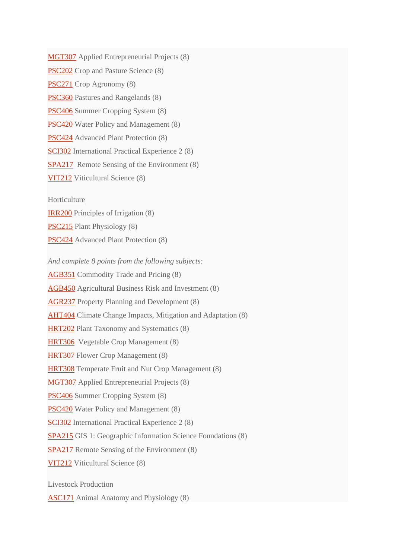[MGT307](http://www.csu.edu.au/handbook/handbook22/subjects/MGT307.html) Applied Entrepreneurial Projects (8) [PSC202](http://www.csu.edu.au/handbook/handbook22/subjects/PSC202.html) Crop and Pasture Science (8) [PSC271](http://www.csu.edu.au/handbook/handbook22/subjects/PSC271.html) Crop Agronomy (8) [PSC360](http://www.csu.edu.au/handbook/handbook22/subjects/PSC360.html) Pastures and Rangelands (8) [PSC406](http://www.csu.edu.au/handbook/handbook22/subjects/PSC406.html) Summer Cropping System (8) [PSC420](http://www.csu.edu.au/handbook/handbook22/subjects/PSC420.html) Water Policy and Management (8) [PSC424](http://www.csu.edu.au/handbook/handbook22/subjects/PSC424.html) Advanced Plant Protection (8) [SCI302](http://www.csu.edu.au/handbook/handbook22/subjects/SCI302.html) International Practical Experience 2 (8) [SPA217](http://www.csu.edu.au/handbook/handbook22/subjects/SPA217.html) Remote Sensing of the Environment (8) [VIT212](http://www.csu.edu.au/handbook/handbook22/subjects/VIT212.html) Viticultural Science (8)

Horticulture

[IRR200](http://www.csu.edu.au/handbook/handbook22/subjects/IRR200.html) Principles of Irrigation (8)

[PSC215](http://www.csu.edu.au/handbook/handbook22/subjects/PSC215.html) Plant Physiology (8)

[PSC424](http://www.csu.edu.au/handbook/handbook22/subjects/PSC424.html) Advanced Plant Protection (8)

*And complete 8 points from the following subjects:* [AGB351](http://www.csu.edu.au/handbook/handbook22/subjects/AGB351.html) Commodity Trade and Pricing (8)

[AGB450](http://www.csu.edu.au/handbook/handbook22/subjects/AGB450.html) Agricultural Business Risk and Investment (8)

[AGR237](http://www.csu.edu.au/handbook/handbook22/subjects/AGR237.html) Property Planning and Development (8)

[AHT404](http://www.csu.edu.au/handbook/handbook22/subjects/AHT404.html) Climate Change Impacts, Mitigation and Adaptation (8)

[HRT202](http://www.csu.edu.au/handbook/handbook22/subjects/HRT202.html) Plant Taxonomy and Systematics (8)

[HRT306](http://www.csu.edu.au/handbook/handbook22/subjects/HRT306.html) Vegetable Crop Management (8)

[HRT307](http://www.csu.edu.au/handbook/handbook22/subjects/HRT307.html) Flower Crop Management (8)

[HRT308](http://www.csu.edu.au/handbook/handbook22/subjects/HRT308.html) Temperate Fruit and Nut Crop Management (8)

[MGT307](http://www.csu.edu.au/handbook/handbook22/subjects/MGT307.html) Applied Entrepreneurial Projects (8)

[PSC406](http://www.csu.edu.au/handbook/handbook22/subjects/PSC406.html) Summer Cropping System (8)

[PSC420](http://www.csu.edu.au/handbook/handbook22/subjects/PSC420.html) Water Policy and Management (8)

[SCI302](http://www.csu.edu.au/handbook/handbook22/subjects/SCI302.html) International Practical Experience 2 (8)

[SPA215](http://www.csu.edu.au/handbook/handbook22/subjects/SPA215.html) GIS 1: Geographic Information Science Foundations (8)

[SPA217](http://www.csu.edu.au/handbook/handbook22/subjects/SPA217.html) Remote Sensing of the Environment (8)

[VIT212](http://www.csu.edu.au/handbook/handbook22/subjects/VIT212.html) Viticultural Science (8)

Livestock Production

[ASC171](http://www.csu.edu.au/handbook/handbook22/subjects/ASC171.html) Animal Anatomy and Physiology (8)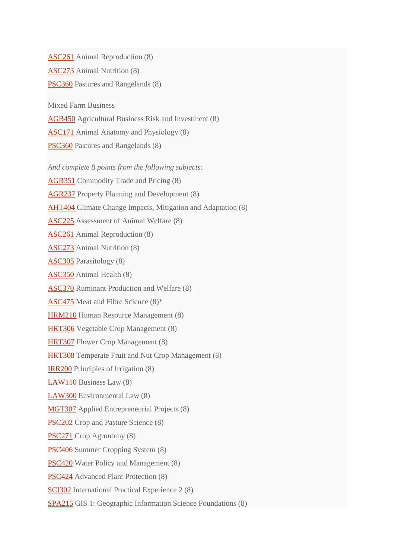[ASC261](http://www.csu.edu.au/handbook/handbook22/subjects/ASC261.html) Animal Reproduction (8)

[ASC273](http://www.csu.edu.au/handbook/handbook22/subjects/ASC273.html) Animal Nutrition (8)

[PSC360](http://www.csu.edu.au/handbook/handbook22/subjects/PSC360.html) Pastures and Rangelands (8)

Mixed Farm Business

[AGB450](http://www.csu.edu.au/handbook/handbook22/subjects/AGB450.html) Agricultural Business Risk and Investment (8)

[ASC171](http://www.csu.edu.au/handbook/handbook22/subjects/ASC171.html) Animal Anatomy and Physiology (8)

[PSC360](http://www.csu.edu.au/handbook/handbook22/subjects/PSC360.html) Pastures and Rangelands (8)

*And complete 8 points from the following subjects:*

[AGB351](http://www.csu.edu.au/handbook/handbook22/subjects/AGB351.html) Commodity Trade and Pricing (8)

[AGR237](http://www.csu.edu.au/handbook/handbook22/subjects/AGR237.html) Property Planning and Development (8)

[AHT404](http://www.csu.edu.au/handbook/handbook22/subjects/AHT404.html) Climate Change Impacts, Mitigation and Adaptation (8)

[ASC225](http://www.csu.edu.au/handbook/handbook22/subjects/ASC225.html) Assessment of Animal Welfare (8)

[ASC261](http://www.csu.edu.au/handbook/handbook22/subjects/ASC261.html) Animal Reproduction (8)

[ASC273](http://www.csu.edu.au/handbook/handbook22/subjects/ASC273.html) Animal Nutrition (8)

[ASC305](http://www.csu.edu.au/handbook/handbook22/subjects/ASC305.html) Parasitology (8)

[ASC350](http://www.csu.edu.au/handbook/handbook22/subjects/ASC350.html) Animal Health (8)

[ASC370](http://www.csu.edu.au/handbook/handbook22/subjects/ASC370.html) Ruminant Production and Welfare (8)

[ASC475](http://www.csu.edu.au/handbook/handbook22/subjects/ASC475.html) Meat and Fibre Science (8)\*

[HRM210](http://www.csu.edu.au/handbook/handbook22/subjects/HRM210.html) Human Resource Management (8)

[HRT306](http://www.csu.edu.au/handbook/handbook22/subjects/HRT306.html) Vegetable Crop Management (8)

[HRT307](http://www.csu.edu.au/handbook/handbook22/subjects/HRT307.html) Flower Crop Management (8)

[HRT308](http://www.csu.edu.au/handbook/handbook22/subjects/HRT308.html) Temperate Fruit and Nut Crop Management (8)

[IRR200](http://www.csu.edu.au/handbook/handbook22/subjects/IRR200.html) Principles of Irrigation (8)

[LAW110](http://www.csu.edu.au/handbook/handbook22/subjects/LAW110.html) Business Law (8)

[LAW300](http://www.csu.edu.au/handbook/handbook22/subjects/LAW300.html) Environmental Law (8)

[MGT307](http://www.csu.edu.au/handbook/handbook22/subjects/MGT307.html) Applied Entrepreneurial Projects (8)

[PSC202](http://www.csu.edu.au/handbook/handbook22/subjects/PSC202.html) Crop and Pasture Science (8)

[PSC271](http://www.csu.edu.au/handbook/handbook22/subjects/PSC271.html) Crop Agronomy (8)

[PSC406](http://www.csu.edu.au/handbook/handbook22/subjects/PSC406.html) Summer Cropping System (8)

[PSC420](http://www.csu.edu.au/handbook/handbook22/subjects/PSC420.html) Water Policy and Management (8)

[PSC424](http://www.csu.edu.au/handbook/handbook22/subjects/PSC424.html) Advanced Plant Protection (8)

[SCI302](http://www.csu.edu.au/handbook/handbook22/subjects/SCI302.html) International Practical Experience 2 (8)

[SPA215](http://www.csu.edu.au/handbook/handbook22/subjects/SPA215.html) GIS 1: Geographic Information Science Foundations (8)